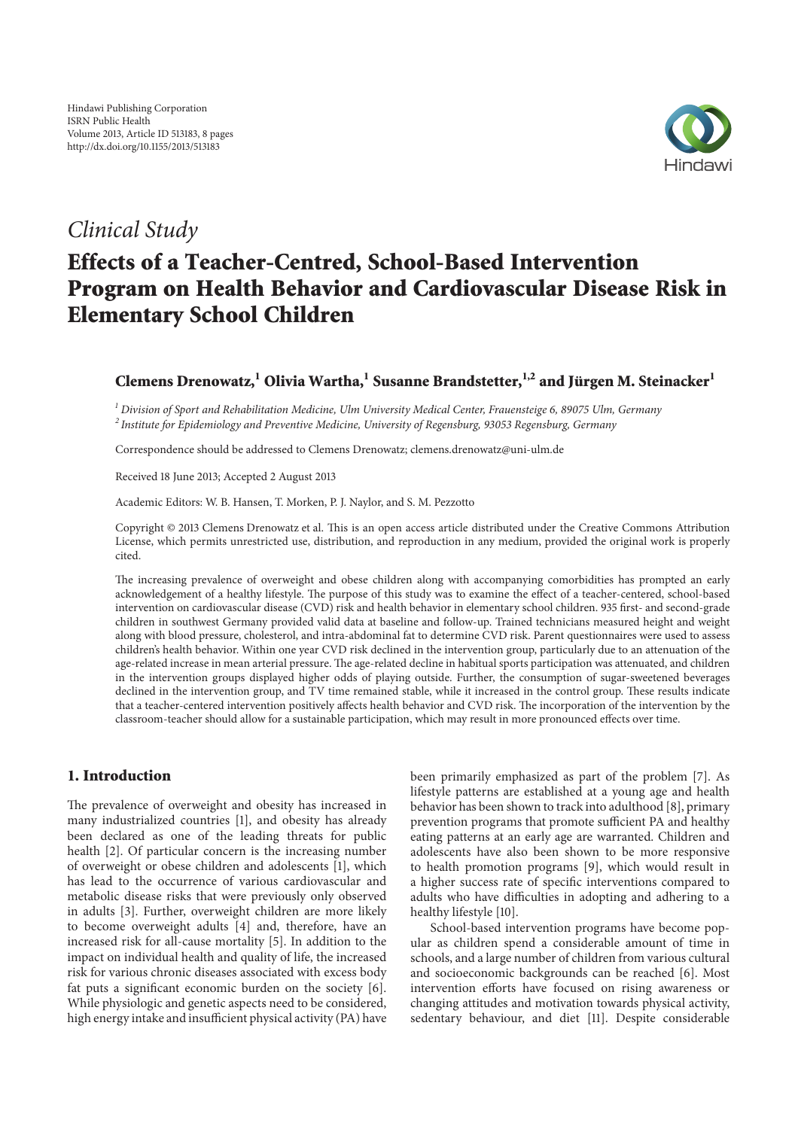

## Clinical Study

# Effects of a Teacher-Centred, School-Based Intervention Program on Health Behavior and Cardiovascular Disease Risk in Elementary School Children

### Clemens Drenowatz, $^{\rm l}$  Olivia Wartha, $^{\rm l}$  Susanne Brandstetter, $^{\rm l,2}$  and Jürgen M. Steinacker $^{\rm l}$

 $1$  Division of Sport and Rehabilitation Medicine, Ulm University Medical Center, Frauensteige 6, 89075 Ulm, Germany  $^2$ Institute for Epidemiology and Preventive Medicine, University of Regensburg, 93053 Regensburg, Germany

Correspondence should be addressed to Clemens Drenowatz; clemens.drenowatz@uni-ulm.de

Received 18 June 2013; Accepted 2 August 2013

Academic Editors: W. B. Hansen, T. Morken, P. J. Naylor, and S. M. Pezzotto

Copyright © 2013 Clemens Drenowatz et al. Uis is an open access article distributed under the Creative Commons Attribution License, which permits unrestricted use, distribution, and reproduction in any medium, provided the original work is properly cited.

The increasing prevalence of overweight and obese children along with accompanying comorbidities has prompted an early acknowledgement of a healthy lifestyle. The purpose of this study was to examine the effect of a teacher-centered, school-based intervention on cardiovascular disease (CVD) risk and health behavior in elementary school children. 935 first- and second-grade children in southwest Germany provided valid data at baseline and follow-up. Trained technicians measured height and weight along with blood pressure, cholesterol, and intra-abdominal fat to determine CVD risk. Parent questionnaires were used to assess children's health behavior. Within one year CVD risk declined in the intervention group, particularly due to an attenuation of the age-related increase in mean arterial pressure. The age-related decline in habitual sports participation was attenuated, and children in the intervention groups displayed higher odds of playing outside. Further, the consumption of sugar-sweetened beverages declined in the intervention group, and TV time remained stable, while it increased in the control group. These results indicate that a teacher-centered intervention positively affects health behavior and CVD risk. The incorporation of the intervention by the classroom-teacher should allow for a sustainable participation, which may result in more pronounced effects over time.

#### 1. Introduction

The prevalence of overweight and obesity has increased in many industrialized countries [1], and obesity has already been declared as one of the leading threats for public health [2]. Of particular concern is the increasing number of overweight or obese children and adolescents [1], which has lead to the occurrence of various cardiovascular and metabolic disease risks that were previously only observed in adults [3]. Further, overweight children are more likely to become overweight adults [4] and, therefore, have an increased risk for all-cause mortality [5]. In addition to the impact on individual health and quality of life, the increased risk for various chronic diseases associated with excess body fat puts a significant economic burden on the society  $[6]$ . While physiologic and genetic aspects need to be considered, high energy intake and insufficient physical activity (PA) have been primarily emphasized as part of the problem [7]. As lifestyle patterns are established at a young age and health behavior has been shown to track into adulthood [8], primary prevention programs that promote sufficient PA and healthy eating patterns at an early age are warranted. Children and adolescents have also been shown to be more responsive to health promotion programs [9], which would result in a higher success rate of specific interventions compared to adults who have difficulties in adopting and adhering to a healthy lifestyle [10].

School-based intervention programs have become popular as children spend a considerable amount of time in schools, and a large number of children from various cultural and socioeconomic backgrounds can be reached [6]. Most intervention efforts have focused on rising awareness or changing attitudes and motivation towards physical activity, sedentary behaviour, and diet [11]. Despite considerable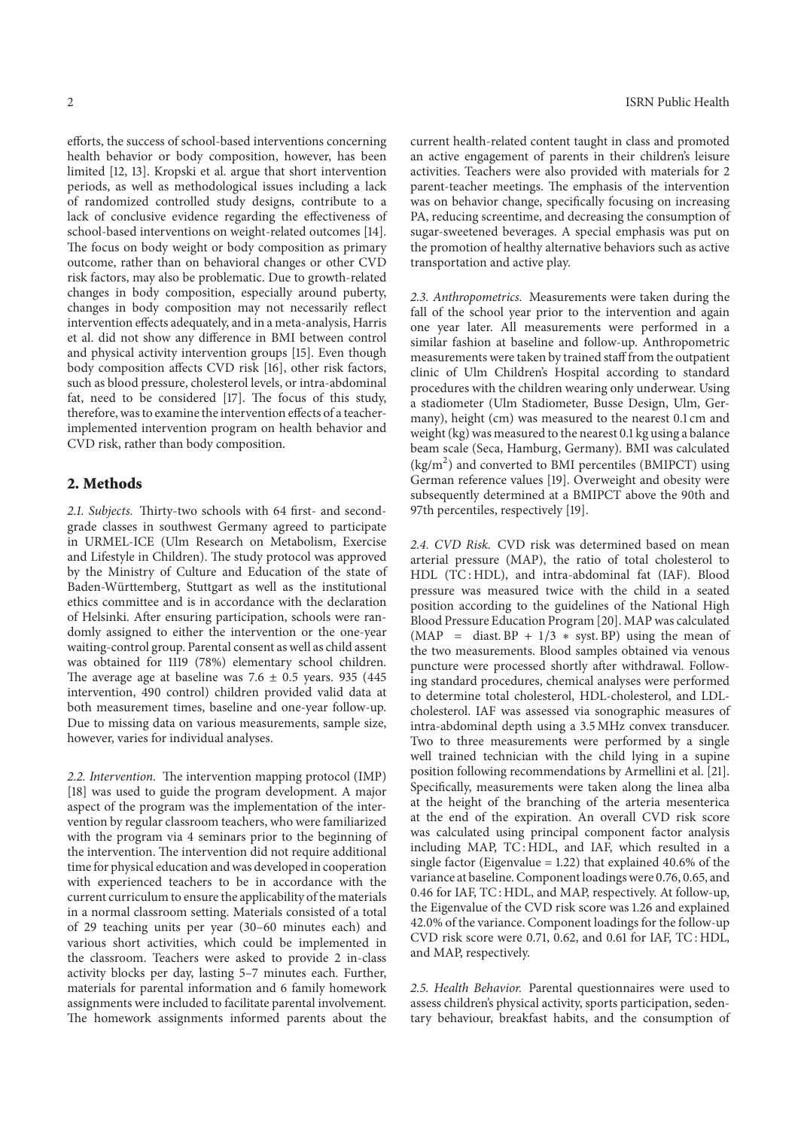efforts, the success of school-based interventions concerning health behavior or body composition, however, has been limited [12, 13]. Kropski et al. argue that short intervention periods, as well as methodological issues including a lack of randomized controlled study designs, contribute to a lack of conclusive evidence regarding the effectiveness of school-based interventions on weight-related outcomes [14]. The focus on body weight or body composition as primary outcome, rather than on behavioral changes or other CVD risk factors, may also be problematic. Due to growth-related changes in body composition, especially around puberty, changes in body composition may not necessarily reflect intervention effects adequately, and in a meta-analysis, Harris et al. did not show any difference in BMI between control and physical activity intervention groups [15]. Even though body composition affects CVD risk [16], other risk factors, such as blood pressure, cholesterol levels, or intra-abdominal fat, need to be considered [17]. He focus of this study, therefore, was to examine the intervention effects of a teacherimplemented intervention program on health behavior and CVD risk, rather than body composition.

#### 2. Methods

2.1. Subjects. Thirty-two schools with 64 first- and secondgrade classes in southwest Germany agreed to participate in URMEL-ICE (Ulm Research on Metabolism, Exercise and Lifestyle in Children). He study protocol was approved by the Ministry of Culture and Education of the state of Baden-Württemberg, Stuttgart as well as the institutional ethics committee and is in accordance with the declaration of Helsinki. After ensuring participation, schools were randomly assigned to either the intervention or the one-year waiting-control group. Parental consent as well as child assent was obtained for 1119 (78%) elementary school children. The average age at baseline was  $7.6 \pm 0.5$  years. 935 (445) intervention, 490 control) children provided valid data at both measurement times, baseline and one-year follow-up. Due to missing data on various measurements, sample size, however, varies for individual analyses.

2.2. Intervention. He intervention mapping protocol (IMP) [18] was used to guide the program development. A major aspect of the program was the implementation of the intervention by regular classroom teachers, who were familiarized with the program via 4 seminars prior to the beginning of the intervention. He intervention did not require additional time for physical education and was developed in cooperation with experienced teachers to be in accordance with the current curriculum to ensure the applicability of the materials in a normal classroom setting. Materials consisted of a total of 29 teaching units per year (30–60 minutes each) and various short activities, which could be implemented in the classroom. Teachers were asked to provide 2 in-class activity blocks per day, lasting 5–7 minutes each. Further, materials for parental information and 6 family homework assignments were included to facilitate parental involvement. The homework assignments informed parents about the

current health-related content taught in class and promoted an active engagement of parents in their children's leisure activities. Teachers were also provided with materials for 2 parent-teacher meetings. He emphasis of the intervention was on behavior change, specifically focusing on increasing PA, reducing screentime, and decreasing the consumption of sugar-sweetened beverages. A special emphasis was put on the promotion of healthy alternative behaviors such as active transportation and active play.

2.3. Anthropometrics. Measurements were taken during the fall of the school year prior to the intervention and again one year later. All measurements were performed in a similar fashion at baseline and follow-up. Anthropometric measurements were taken by trained staff from the outpatient clinic of Ulm Children's Hospital according to standard procedures with the children wearing only underwear. Using a stadiometer (Ulm Stadiometer, Busse Design, Ulm, Germany), height (cm) was measured to the nearest 0.1 cm and weight (kg) was measured to the nearest 0.1 kg using a balance beam scale (Seca, Hamburg, Germany). BMI was calculated  $(kg/m<sup>2</sup>)$  and converted to BMI percentiles (BMIPCT) using German reference values [19]. Overweight and obesity were subsequently determined at a BMIPCT above the 90th and 97th percentiles, respectively [19].

2.4. CVD Risk. CVD risk was determined based on mean arterial pressure (MAP), the ratio of total cholesterol to HDL (TC : HDL), and intra-abdominal fat (IAF). Blood pressure was measured twice with the child in a seated position according to the guidelines of the National High Blood Pressure Education Program [20]. MAP was calculated  $(MAP = \text{diast. BP} + 1/3 * \text{syst. BP})$  using the mean of the two measurements. Blood samples obtained via venous puncture were processed shortly after withdrawal. Following standard procedures, chemical analyses were performed to determine total cholesterol, HDL-cholesterol, and LDLcholesterol. IAF was assessed via sonographic measures of intra-abdominal depth using a 3.5 MHz convex transducer. Two to three measurements were performed by a single well trained technician with the child lying in a supine position following recommendations by Armellini et al. [21]. Specifically, measurements were taken along the linea alba at the height of the branching of the arteria mesenterica at the end of the expiration. An overall CVD risk score was calculated using principal component factor analysis including MAP, TC : HDL, and IAF, which resulted in a single factor (Eigenvalue = 1.22) that explained 40.6% of the variance at baseline. Component loadings were 0.76, 0.65, and 0.46 for IAF, TC : HDL, and MAP, respectively. At follow-up, the Eigenvalue of the CVD risk score was 1.26 and explained 42.0% of the variance. Component loadings for the follow-up CVD risk score were 0.71, 0.62, and 0.61 for IAF, TC : HDL, and MAP, respectively.

2.5. Health Behavior. Parental questionnaires were used to assess children's physical activity, sports participation, sedentary behaviour, breakfast habits, and the consumption of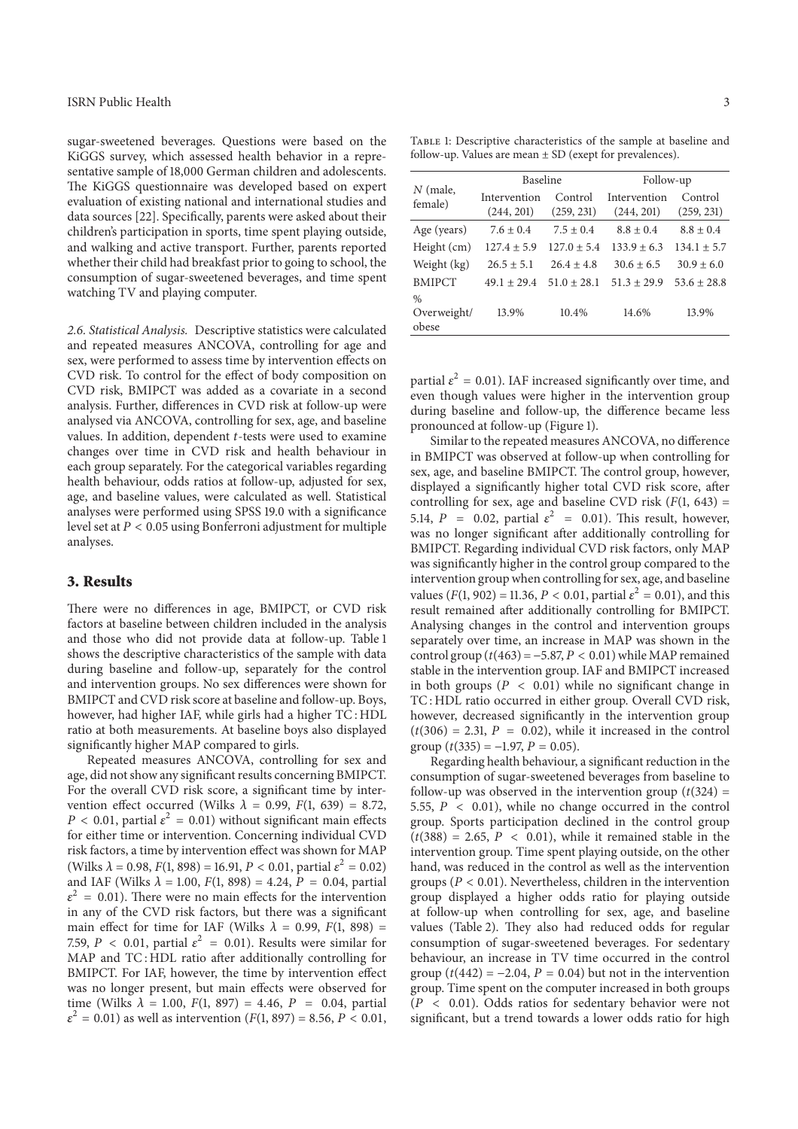sugar-sweetened beverages. Questions were based on the KiGGS survey, which assessed health behavior in a representative sample of 18,000 German children and adolescents. The KiGGS questionnaire was developed based on expert evaluation of existing national and international studies and data sources [22]. Specifically, parents were asked about their children's participation in sports, time spent playing outside, and walking and active transport. Further, parents reported whether their child had breakfast prior to going to school, the consumption of sugar-sweetened beverages, and time spent watching TV and playing computer.

2.6. Statistical Analysis. Descriptive statistics were calculated and repeated measures ANCOVA, controlling for age and sex, were performed to assess time by intervention effects on CVD risk. To control for the effect of body composition on CVD risk, BMIPCT was added as a covariate in a second analysis. Further, differences in CVD risk at follow-up were analysed via ANCOVA, controlling for sex, age, and baseline values. In addition, dependent *t*-tests were used to examine changes over time in CVD risk and health behaviour in each group separately. For the categorical variables regarding health behaviour, odds ratios at follow-up, adjusted for sex, age, and baseline values, were calculated as well. Statistical analyses were performed using SPSS 19.0 with a significance level set at  $P < 0.05$  using Bonferroni adjustment for multiple analyses.

#### 3. Results

There were no differences in age, BMIPCT, or CVD risk factors at baseline between children included in the analysis and those who did not provide data at follow-up. Table 1 shows the descriptive characteristics of the sample with data during baseline and follow-up, separately for the control and intervention groups. No sex differences were shown for BMIPCT and CVD risk score at baseline and follow-up. Boys, however, had higher IAF, while girls had a higher TC : HDL ratio at both measurements. At baseline boys also displayed significantly higher MAP compared to girls.

Repeated measures ANCOVA, controlling for sex and age, did not show any significant results concerning BMIPCT. For the overall CVD risk score, a significant time by intervention effect occurred (Wilks  $\lambda = 0.99$ ,  $F(1, 639) = 8.72$ ,  $P < 0.01$ , partial  $\varepsilon^2 = 0.01$ ) without significant main effects for either time or intervention. Concerning individual CVD risk factors, a time by intervention effect was shown for MAP (Wilks  $\lambda = 0.98$ ,  $F(1, 898) = 16.91$ ,  $P < 0.01$ , partial  $\varepsilon^2 = 0.02$ ) and IAF (Wilks  $\lambda = 1.00$ ,  $F(1, 898) = 4.24$ ,  $P = 0.04$ , partial  $\varepsilon^2$  = 0.01). There were no main effects for the intervention in any of the CVD risk factors, but there was a significant main effect for time for IAF (Wilks  $\lambda = 0.99$ ,  $F(1, 898) =$ 7.59,  $P < 0.01$ , partial  $\varepsilon^2 = 0.01$ ). Results were similar for MAP and TC: HDL ratio after additionally controlling for BMIPCT. For IAF, however, the time by intervention effect was no longer present, but main effects were observed for time (Wilks  $\lambda = 1.00$ ,  $F(1, 897) = 4.46$ ,  $P = 0.04$ , partial  $\varepsilon^2 = 0.01$ ) as well as intervention  $(F(1, 897) = 8.56, P < 0.01,$ 

Table 1: Descriptive characteristics of the sample at baseline and follow-up. Values are mean  $\pm$  SD (exept for prevalences).

| $N$ (male,<br>female)                 | <b>Baseline</b>            |                       | Follow-up                  |                       |
|---------------------------------------|----------------------------|-----------------------|----------------------------|-----------------------|
|                                       | Intervention<br>(244, 201) | Control<br>(259, 231) | Intervention<br>(244, 201) | Control<br>(259, 231) |
| Age (years)                           | $7.6 + 0.4$                | $7.5 + 0.4$           | $8.8 + 0.4$                | $8.8 + 0.4$           |
| Height (cm)                           | $127.4 + 5.9$              | $127.0 + 5.4$         | $133.9 + 6.3$              | $134.1 \pm 5.7$       |
| Weight (kg)                           | $26.5 + 5.1$               | $26.4 + 4.8$          | $30.6 + 6.5$               | $30.9 + 6.0$          |
| <b>BMIPCT</b>                         | $49.1 + 29.4$              | $51.0 + 28.1$         | $51.3 + 29.9$              | $53.6 + 28.8$         |
| $\frac{0}{0}$<br>Overweight/<br>obese | 13.9%                      | 10.4%                 | 14.6%                      | 13.9%                 |

partial  $\varepsilon^2$  = 0.01). IAF increased significantly over time, and even though values were higher in the intervention group during baseline and follow-up, the difference became less pronounced at follow-up (Figure 1).

Similar to the repeated measures ANCOVA, no difference in BMIPCT was observed at follow-up when controlling for sex, age, and baseline BMIPCT. The control group, however, displayed a significantly higher total CVD risk score, after controlling for sex, age and baseline CVD risk  $(F(1, 643) =$ 5.14,  $P = 0.02$ , partial  $\varepsilon^2 = 0.01$ ). This result, however, was no longer significant after additionally controlling for BMIPCT. Regarding individual CVD risk factors, only MAP was significantly higher in the control group compared to the intervention group when controlling for sex, age, and baseline values (*F*(1, 902) = 11.36, *P* < 0.01, partial  $\varepsilon^2$  = 0.01), and this result remained ader additionally controlling for BMIPCT. Analysing changes in the control and intervention groups separately over time, an increase in MAP was shown in the control group  $(t(463) = -5.87, P < 0.01)$  while MAP remained stable in the intervention group. IAF and BMIPCT increased in both groups ( $P < 0.01$ ) while no significant change in TC : HDL ratio occurred in either group. Overall CVD risk, however, decreased significantly in the intervention group  $(t(306) = 2.31, P = 0.02)$ , while it increased in the control group  $(t(335) = -1.97, P = 0.05)$ .

Regarding health behaviour, a significant reduction in the consumption of sugar-sweetened beverages from baseline to follow-up was observed in the intervention group  $(t(324) =$ 5.55,  $P \, < \, 0.01$ ), while no change occurred in the control group. Sports participation declined in the control group  $(t(388) = 2.65, P < 0.01)$ , while it remained stable in the intervention group. Time spent playing outside, on the other hand, was reduced in the control as well as the intervention groups ( $P < 0.01$ ). Nevertheless, children in the intervention group displayed a higher odds ratio for playing outside at follow-up when controlling for sex, age, and baseline values (Table 2). They also had reduced odds for regular consumption of sugar-sweetened beverages. For sedentary behaviour, an increase in TV time occurred in the control group  $(t(442) = -2.04, P = 0.04)$  but not in the intervention group. Time spent on the computer increased in both groups  $(P < 0.01)$ . Odds ratios for sedentary behavior were not significant, but a trend towards a lower odds ratio for high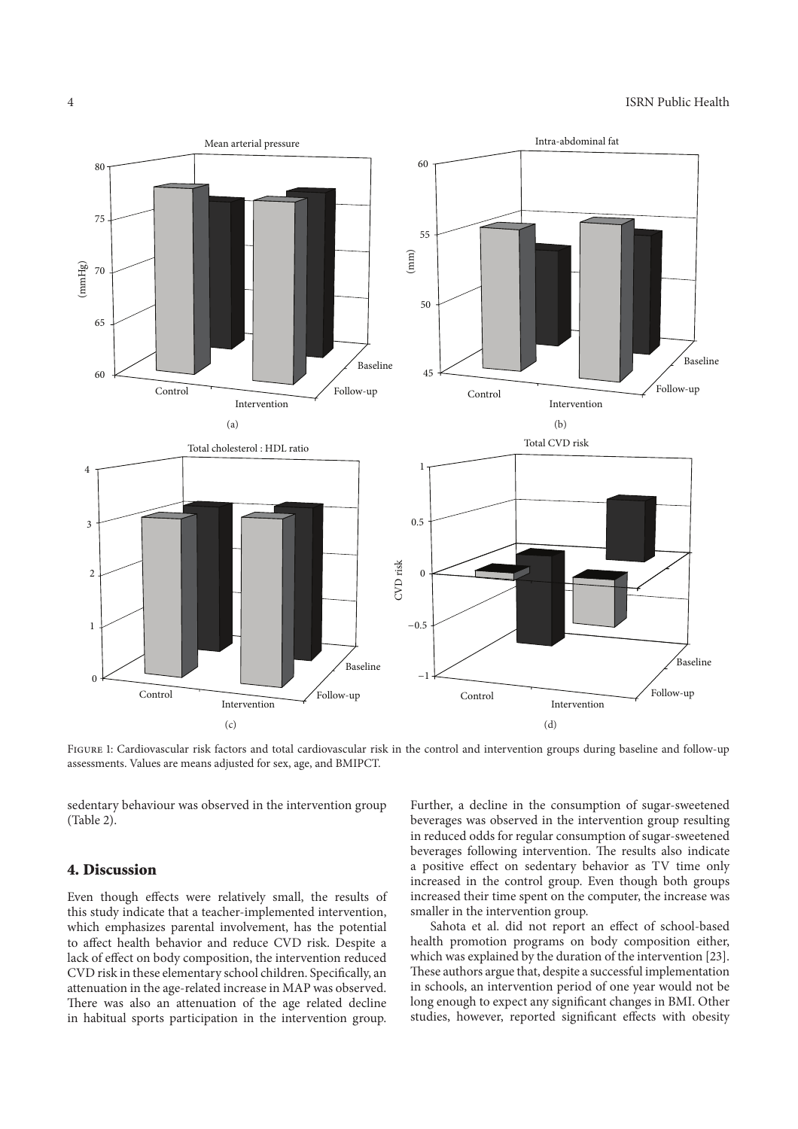

Figure 1: Cardiovascular risk factors and total cardiovascular risk in the control and intervention groups during baseline and follow-up assessments. Values are means adjusted for sex, age, and BMIPCT.

sedentary behaviour was observed in the intervention group (Table 2).

#### 4. Discussion

Even though effects were relatively small, the results of this study indicate that a teacher-implemented intervention, which emphasizes parental involvement, has the potential to affect health behavior and reduce CVD risk. Despite a lack of effect on body composition, the intervention reduced CVD risk in these elementary school children. Specifically, an attenuation in the age-related increase in MAP was observed. There was also an attenuation of the age related decline in habitual sports participation in the intervention group.

Further, a decline in the consumption of sugar-sweetened beverages was observed in the intervention group resulting in reduced odds for regular consumption of sugar-sweetened beverages following intervention. The results also indicate a positive effect on sedentary behavior as TV time only increased in the control group. Even though both groups increased their time spent on the computer, the increase was smaller in the intervention group.

Sahota et al. did not report an effect of school-based health promotion programs on body composition either, which was explained by the duration of the intervention [23]. These authors argue that, despite a successful implementation in schools, an intervention period of one year would not be long enough to expect any significant changes in BMI. Other studies, however, reported significant effects with obesity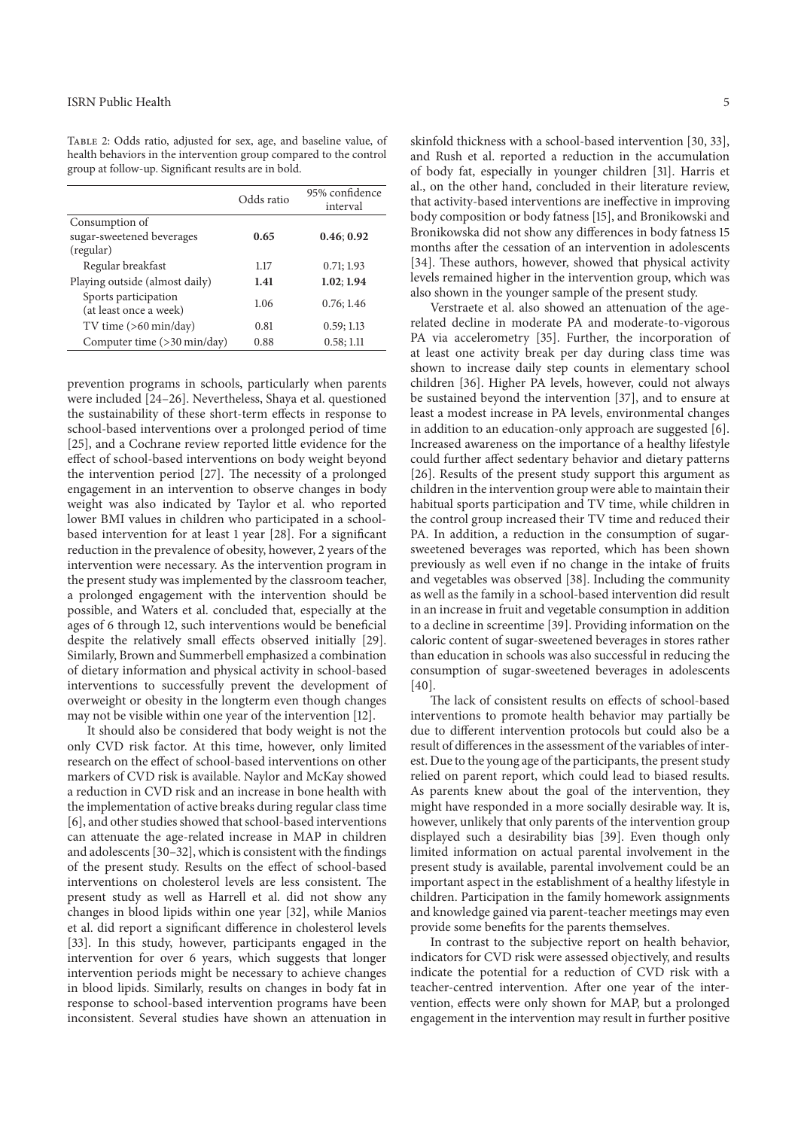Table 2: Odds ratio, adjusted for sex, age, and baseline value, of health behaviors in the intervention group compared to the control group at follow-up. Significant results are in bold.

|                                                          | Odds ratio | 95% confidence<br>interval |
|----------------------------------------------------------|------------|----------------------------|
| Consumption of<br>sugar-sweetened beverages<br>(regular) | 0.65       | 0.46; 0.92                 |
| Regular breakfast                                        | 1.17       | 0.71; 1.93                 |
| Playing outside (almost daily)                           | 1.41       | 1.02; 1.94                 |
| Sports participation<br>(at least once a week)           | 1.06       | 0.76; 1.46                 |
| TV time (>60 min/day)                                    | 0.81       | 0.59; 1.13                 |
| Computer time (>30 min/day)                              | 0.88       | 0.58; 1.11                 |

prevention programs in schools, particularly when parents were included [24–26]. Nevertheless, Shaya et al. questioned the sustainability of these short-term effects in response to school-based interventions over a prolonged period of time [25], and a Cochrane review reported little evidence for the effect of school-based interventions on body weight beyond the intervention period  $[27]$ . The necessity of a prolonged engagement in an intervention to observe changes in body weight was also indicated by Taylor et al. who reported lower BMI values in children who participated in a schoolbased intervention for at least 1 year [28]. For a significant reduction in the prevalence of obesity, however, 2 years of the intervention were necessary. As the intervention program in the present study was implemented by the classroom teacher, a prolonged engagement with the intervention should be possible, and Waters et al. concluded that, especially at the ages of 6 through 12, such interventions would be beneficial despite the relatively small effects observed initially [29]. Similarly, Brown and Summerbell emphasized a combination of dietary information and physical activity in school-based interventions to successfully prevent the development of overweight or obesity in the longterm even though changes may not be visible within one year of the intervention [12].

It should also be considered that body weight is not the only CVD risk factor. At this time, however, only limited research on the effect of school-based interventions on other markers of CVD risk is available. Naylor and McKay showed a reduction in CVD risk and an increase in bone health with the implementation of active breaks during regular class time [6], and other studies showed that school-based interventions can attenuate the age-related increase in MAP in children and adolescents  $[30-32]$ , which is consistent with the findings of the present study. Results on the effect of school-based interventions on cholesterol levels are less consistent. The present study as well as Harrell et al. did not show any changes in blood lipids within one year [32], while Manios et al. did report a significant difference in cholesterol levels [33]. In this study, however, participants engaged in the intervention for over 6 years, which suggests that longer intervention periods might be necessary to achieve changes in blood lipids. Similarly, results on changes in body fat in response to school-based intervention programs have been inconsistent. Several studies have shown an attenuation in

skinfold thickness with a school-based intervention [30, 33], and Rush et al. reported a reduction in the accumulation of body fat, especially in younger children [31]. Harris et al., on the other hand, concluded in their literature review, that activity-based interventions are ineffective in improving body composition or body fatness [15], and Bronikowski and Bronikowska did not show any differences in body fatness 15 months after the cessation of an intervention in adolescents [34]. These authors, however, showed that physical activity levels remained higher in the intervention group, which was also shown in the younger sample of the present study.

Verstraete et al. also showed an attenuation of the agerelated decline in moderate PA and moderate-to-vigorous PA via accelerometry [35]. Further, the incorporation of at least one activity break per day during class time was shown to increase daily step counts in elementary school children [36]. Higher PA levels, however, could not always be sustained beyond the intervention [37], and to ensure at least a modest increase in PA levels, environmental changes in addition to an education-only approach are suggested [6]. Increased awareness on the importance of a healthy lifestyle could further affect sedentary behavior and dietary patterns [26]. Results of the present study support this argument as children in the intervention group were able to maintain their habitual sports participation and TV time, while children in the control group increased their TV time and reduced their PA. In addition, a reduction in the consumption of sugarsweetened beverages was reported, which has been shown previously as well even if no change in the intake of fruits and vegetables was observed [38]. Including the community as well as the family in a school-based intervention did result in an increase in fruit and vegetable consumption in addition to a decline in screentime [39]. Providing information on the caloric content of sugar-sweetened beverages in stores rather than education in schools was also successful in reducing the consumption of sugar-sweetened beverages in adolescents [40].

The lack of consistent results on effects of school-based interventions to promote health behavior may partially be due to different intervention protocols but could also be a result of differences in the assessment of the variables of interest. Due to the young age of the participants, the present study relied on parent report, which could lead to biased results. As parents knew about the goal of the intervention, they might have responded in a more socially desirable way. It is, however, unlikely that only parents of the intervention group displayed such a desirability bias [39]. Even though only limited information on actual parental involvement in the present study is available, parental involvement could be an important aspect in the establishment of a healthy lifestyle in children. Participation in the family homework assignments and knowledge gained via parent-teacher meetings may even provide some benefits for the parents themselves.

In contrast to the subjective report on health behavior, indicators for CVD risk were assessed objectively, and results indicate the potential for a reduction of CVD risk with a teacher-centred intervention. After one year of the intervention, effects were only shown for MAP, but a prolonged engagement in the intervention may result in further positive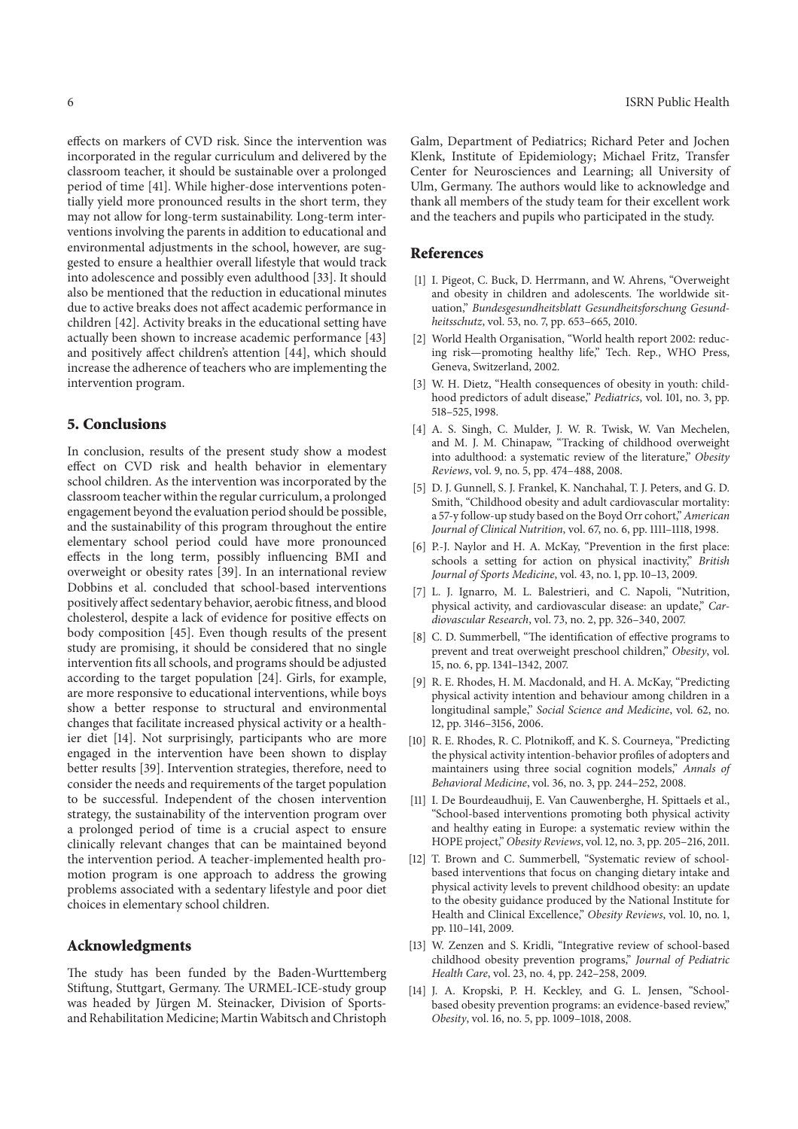effects on markers of CVD risk. Since the intervention was incorporated in the regular curriculum and delivered by the classroom teacher, it should be sustainable over a prolonged period of time [41]. While higher-dose interventions potentially yield more pronounced results in the short term, they may not allow for long-term sustainability. Long-term interventions involving the parents in addition to educational and environmental adjustments in the school, however, are suggested to ensure a healthier overall lifestyle that would track into adolescence and possibly even adulthood [33]. It should also be mentioned that the reduction in educational minutes due to active breaks does not affect academic performance in children [42]. Activity breaks in the educational setting have actually been shown to increase academic performance [43] and positively affect children's attention [44], which should increase the adherence of teachers who are implementing the intervention program.

#### 5. Conclusions

In conclusion, results of the present study show a modest effect on CVD risk and health behavior in elementary school children. As the intervention was incorporated by the classroom teacher within the regular curriculum, a prolonged engagement beyond the evaluation period should be possible, and the sustainability of this program throughout the entire elementary school period could have more pronounced effects in the long term, possibly influencing BMI and overweight or obesity rates [39]. In an international review Dobbins et al. concluded that school-based interventions positively affect sedentary behavior, aerobic fitness, and blood cholesterol, despite a lack of evidence for positive effects on body composition [45]. Even though results of the present study are promising, it should be considered that no single intervention fits all schools, and programs should be adjusted according to the target population [24]. Girls, for example, are more responsive to educational interventions, while boys show a better response to structural and environmental changes that facilitate increased physical activity or a healthier diet [14]. Not surprisingly, participants who are more engaged in the intervention have been shown to display better results [39]. Intervention strategies, therefore, need to consider the needs and requirements of the target population to be successful. Independent of the chosen intervention strategy, the sustainability of the intervention program over a prolonged period of time is a crucial aspect to ensure clinically relevant changes that can be maintained beyond the intervention period. A teacher-implemented health promotion program is one approach to address the growing problems associated with a sedentary lifestyle and poor diet choices in elementary school children.

#### Acknowledgments

The study has been funded by the Baden-Wurttemberg Stiftung, Stuttgart, Germany. The URMEL-ICE-study group was headed by Jürgen M. Steinacker, Division of Sportsand Rehabilitation Medicine; Martin Wabitsch and Christoph

Galm, Department of Pediatrics; Richard Peter and Jochen Klenk, Institute of Epidemiology; Michael Fritz, Transfer Center for Neurosciences and Learning; all University of Ulm, Germany. The authors would like to acknowledge and thank all members of the study team for their excellent work and the teachers and pupils who participated in the study.

#### References

- [1] I. Pigeot, C. Buck, D. Herrmann, and W. Ahrens, "Overweight and obesity in children and adolescents. The worldwide situation," Bundesgesundheitsblatt Gesundheitsforschung Gesundheitsschutz, vol. 53, no. 7, pp. 653–665, 2010.
- [2] World Health Organisation, "World health report 2002: reducing risk—promoting healthy life," Tech. Rep., WHO Press, Geneva, Switzerland, 2002.
- [3] W. H. Dietz, "Health consequences of obesity in youth: childhood predictors of adult disease," Pediatrics, vol. 101, no. 3, pp. 518–525, 1998.
- [4] A. S. Singh, C. Mulder, J. W. R. Twisk, W. Van Mechelen, and M. J. M. Chinapaw, "Tracking of childhood overweight into adulthood: a systematic review of the literature," Obesity Reviews, vol. 9, no. 5, pp. 474–488, 2008.
- [5] D. J. Gunnell, S. J. Frankel, K. Nanchahal, T. J. Peters, and G. D. Smith, "Childhood obesity and adult cardiovascular mortality: a 57-y follow-up study based on the Boyd Orr cohort," American Journal of Clinical Nutrition, vol. 67, no. 6, pp. 1111–1118, 1998.
- [6] P.-J. Naylor and H. A. McKay, "Prevention in the first place: schools a setting for action on physical inactivity," British Journal of Sports Medicine, vol. 43, no. 1, pp. 10–13, 2009.
- [7] L. J. Ignarro, M. L. Balestrieri, and C. Napoli, "Nutrition, physical activity, and cardiovascular disease: an update," Cardiovascular Research, vol. 73, no. 2, pp. 326–340, 2007.
- [8] C. D. Summerbell, "The identification of effective programs to prevent and treat overweight preschool children," Obesity, vol. 15, no. 6, pp. 1341–1342, 2007.
- [9] R. E. Rhodes, H. M. Macdonald, and H. A. McKay, "Predicting physical activity intention and behaviour among children in a longitudinal sample," Social Science and Medicine, vol. 62, no. 12, pp. 3146–3156, 2006.
- [10] R. E. Rhodes, R. C. Plotnikoff, and K. S. Courneya, "Predicting the physical activity intention-behavior profiles of adopters and maintainers using three social cognition models," Annals of Behavioral Medicine, vol. 36, no. 3, pp. 244–252, 2008.
- [11] I. De Bourdeaudhuij, E. Van Cauwenberghe, H. Spittaels et al., "School-based interventions promoting both physical activity and healthy eating in Europe: a systematic review within the HOPE project," Obesity Reviews, vol. 12, no. 3, pp. 205–216, 2011.
- [12] T. Brown and C. Summerbell, "Systematic review of schoolbased interventions that focus on changing dietary intake and physical activity levels to prevent childhood obesity: an update to the obesity guidance produced by the National Institute for Health and Clinical Excellence," Obesity Reviews, vol. 10, no. 1, pp. 110–141, 2009.
- [13] W. Zenzen and S. Kridli, "Integrative review of school-based childhood obesity prevention programs," Journal of Pediatric Health Care, vol. 23, no. 4, pp. 242–258, 2009.
- [14] J. A. Kropski, P. H. Keckley, and G. L. Jensen, "Schoolbased obesity prevention programs: an evidence-based review," Obesity, vol. 16, no. 5, pp. 1009–1018, 2008.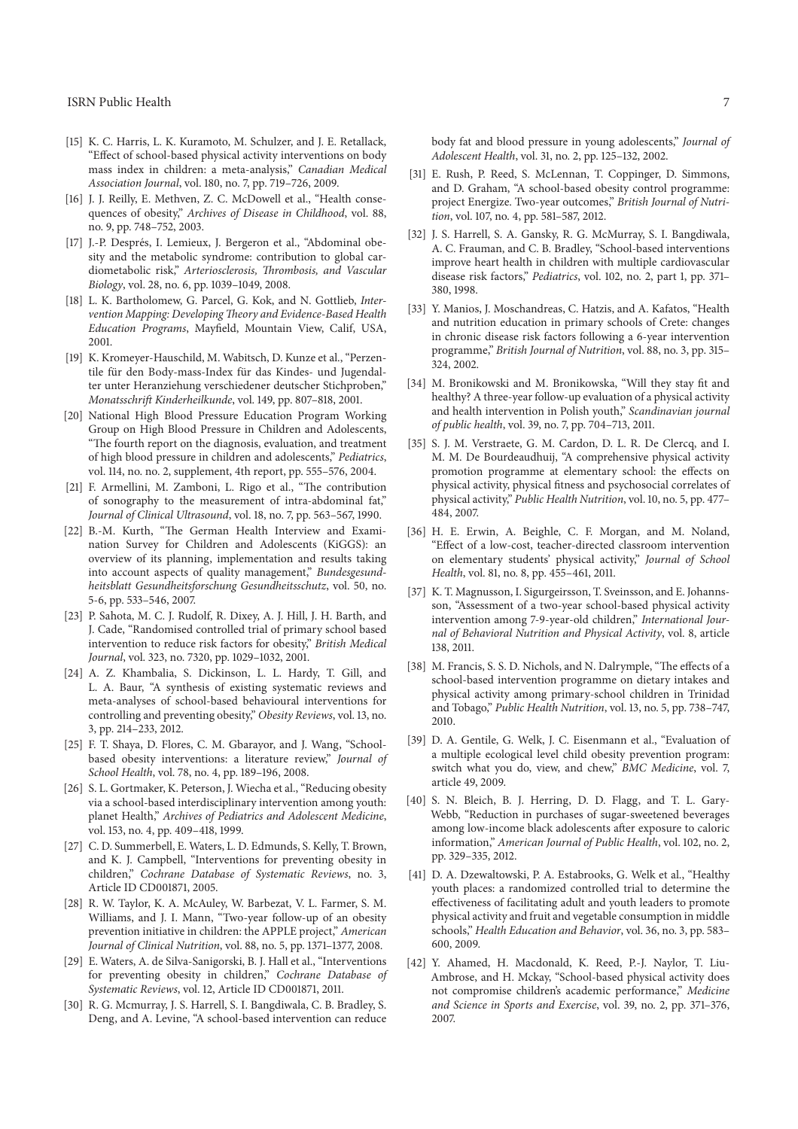- [15] K. C. Harris, L. K. Kuramoto, M. Schulzer, and J. E. Retallack, "Effect of school-based physical activity interventions on body mass index in children: a meta-analysis," Canadian Medical Association Journal, vol. 180, no. 7, pp. 719–726, 2009.
- [16] J. J. Reilly, E. Methven, Z. C. McDowell et al., "Health consequences of obesity," Archives of Disease in Childhood, vol. 88, no. 9, pp. 748–752, 2003.
- [17] J.-P. Després, I. Lemieux, J. Bergeron et al., "Abdominal obesity and the metabolic syndrome: contribution to global cardiometabolic risk," Arteriosclerosis, Thrombosis, and Vascular Biology, vol. 28, no. 6, pp. 1039–1049, 2008.
- [18] L. K. Bartholomew, G. Parcel, G. Kok, and N. Gottlieb, Intervention Mapping: Developing Theory and Evidence-Based Health Education Programs, Mayfield, Mountain View, Calif, USA, 2001.
- [19] K. Kromeyer-Hauschild, M. Wabitsch, D. Kunze et al., "Perzentile für den Body-mass-Index für das Kindes- und Jugendalter unter Heranziehung verschiedener deutscher Stichproben," Monatsschrift Kinderheilkunde, vol. 149, pp. 807-818, 2001.
- [20] National High Blood Pressure Education Program Working Group on High Blood Pressure in Children and Adolescents, "The fourth report on the diagnosis, evaluation, and treatment of high blood pressure in children and adolescents," Pediatrics, vol. 114, no. no. 2, supplement, 4th report, pp. 555–576, 2004.
- [21] F. Armellini, M. Zamboni, L. Rigo et al., "The contribution of sonography to the measurement of intra-abdominal fat," Journal of Clinical Ultrasound, vol. 18, no. 7, pp. 563–567, 1990.
- [22] B.-M. Kurth, "The German Health Interview and Examination Survey for Children and Adolescents (KiGGS): an overview of its planning, implementation and results taking into account aspects of quality management," Bundesgesundheitsblatt Gesundheitsforschung Gesundheitsschutz, vol. 50, no. 5-6, pp. 533–546, 2007.
- [23] P. Sahota, M. C. J. Rudolf, R. Dixey, A. J. Hill, J. H. Barth, and J. Cade, "Randomised controlled trial of primary school based intervention to reduce risk factors for obesity," British Medical Journal, vol. 323, no. 7320, pp. 1029–1032, 2001.
- [24] A. Z. Khambalia, S. Dickinson, L. L. Hardy, T. Gill, and L. A. Baur, "A synthesis of existing systematic reviews and meta-analyses of school-based behavioural interventions for controlling and preventing obesity," Obesity Reviews, vol. 13, no. 3, pp. 214–233, 2012.
- [25] F. T. Shaya, D. Flores, C. M. Gbarayor, and J. Wang, "Schoolbased obesity interventions: a literature review," Journal of School Health, vol. 78, no. 4, pp. 189–196, 2008.
- [26] S. L. Gortmaker, K. Peterson, J. Wiecha et al., "Reducing obesity via a school-based interdisciplinary intervention among youth: planet Health," Archives of Pediatrics and Adolescent Medicine, vol. 153, no. 4, pp. 409–418, 1999.
- [27] C. D. Summerbell, E. Waters, L. D. Edmunds, S. Kelly, T. Brown, and K. J. Campbell, "Interventions for preventing obesity in children," Cochrane Database of Systematic Reviews, no. 3, Article ID CD001871, 2005.
- [28] R. W. Taylor, K. A. McAuley, W. Barbezat, V. L. Farmer, S. M. Williams, and J. I. Mann, "Two-year follow-up of an obesity prevention initiative in children: the APPLE project," American Journal of Clinical Nutrition, vol. 88, no. 5, pp. 1371–1377, 2008.
- [29] E. Waters, A. de Silva-Sanigorski, B. J. Hall et al., "Interventions for preventing obesity in children," Cochrane Database of Systematic Reviews, vol. 12, Article ID CD001871, 2011.
- [30] R. G. Mcmurray, J. S. Harrell, S. I. Bangdiwala, C. B. Bradley, S. Deng, and A. Levine, "A school-based intervention can reduce

body fat and blood pressure in young adolescents," Journal of Adolescent Health, vol. 31, no. 2, pp. 125–132, 2002.

- [31] E. Rush, P. Reed, S. McLennan, T. Coppinger, D. Simmons, and D. Graham, "A school-based obesity control programme: project Energize. Two-year outcomes," British Journal of Nutrition, vol. 107, no. 4, pp. 581–587, 2012.
- [32] J. S. Harrell, S. A. Gansky, R. G. McMurray, S. I. Bangdiwala, A. C. Frauman, and C. B. Bradley, "School-based interventions improve heart health in children with multiple cardiovascular disease risk factors," Pediatrics, vol. 102, no. 2, part 1, pp. 371– 380, 1998.
- [33] Y. Manios, J. Moschandreas, C. Hatzis, and A. Kafatos, "Health and nutrition education in primary schools of Crete: changes in chronic disease risk factors following a 6-year intervention programme," British Journal of Nutrition, vol. 88, no. 3, pp. 315– 324, 2002.
- [34] M. Bronikowski and M. Bronikowska, "Will they stay fit and healthy? A three-year follow-up evaluation of a physical activity and health intervention in Polish youth," Scandinavian journal of public health, vol. 39, no. 7, pp. 704–713, 2011.
- [35] S. J. M. Verstraete, G. M. Cardon, D. L. R. De Clercq, and I. M. M. De Bourdeaudhuij, "A comprehensive physical activity promotion programme at elementary school: the effects on physical activity, physical fitness and psychosocial correlates of physical activity," Public Health Nutrition, vol. 10, no. 5, pp. 477– 484, 2007.
- [36] H. E. Erwin, A. Beighle, C. F. Morgan, and M. Noland, "Effect of a low-cost, teacher-directed classroom intervention on elementary students' physical activity," Journal of School Health, vol. 81, no. 8, pp. 455–461, 2011.
- [37] K. T. Magnusson, I. Sigurgeirsson, T. Sveinsson, and E. Johannsson, "Assessment of a two-year school-based physical activity intervention among 7-9-year-old children," International Journal of Behavioral Nutrition and Physical Activity, vol. 8, article 138, 2011.
- [38] M. Francis, S. S. D. Nichols, and N. Dalrymple, "The effects of a school-based intervention programme on dietary intakes and physical activity among primary-school children in Trinidad and Tobago," Public Health Nutrition, vol. 13, no. 5, pp. 738–747, 2010.
- [39] D. A. Gentile, G. Welk, J. C. Eisenmann et al., "Evaluation of a multiple ecological level child obesity prevention program: switch what you do, view, and chew," BMC Medicine, vol. 7, article 49, 2009.
- [40] S. N. Bleich, B. J. Herring, D. D. Flagg, and T. L. Gary-Webb, "Reduction in purchases of sugar-sweetened beverages among low-income black adolescents after exposure to caloric information," American Journal of Public Health, vol. 102, no. 2, pp. 329–335, 2012.
- [41] D. A. Dzewaltowski, P. A. Estabrooks, G. Welk et al., "Healthy youth places: a randomized controlled trial to determine the effectiveness of facilitating adult and youth leaders to promote physical activity and fruit and vegetable consumption in middle schools," Health Education and Behavior, vol. 36, no. 3, pp. 583– 600, 2009.
- [42] Y. Ahamed, H. Macdonald, K. Reed, P.-J. Naylor, T. Liu-Ambrose, and H. Mckay, "School-based physical activity does not compromise children's academic performance," Medicine and Science in Sports and Exercise, vol. 39, no. 2, pp. 371–376, 2007.